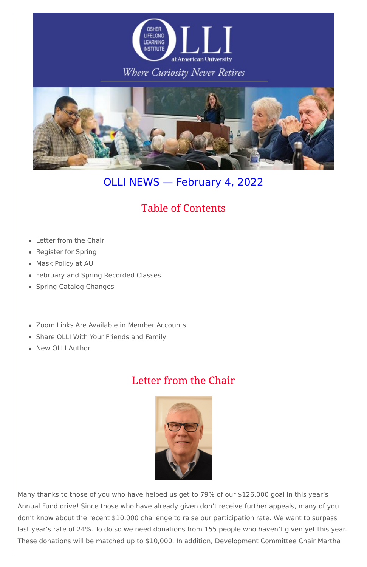

### Where Curiosity Never Retires



# OLLI NEWS — February 4, 2022

- Letter from the Chair
- Register for Spring
- Mask Policy at AU
- February and Spring Recorded Classes
- Spring Catalog Changes
- Zoom Links Are Available in Member Accounts
- Share OLLI With Your Friends and Family
- New OLLI Author

# **Table of Contents**

## Letter from the Chair



Many thanks to those of you who have helped us get to 79% of our \$126,000 goal in this year's Annual Fund drive! Since those who have already given don't receive further appeals, many of you don't know about the recent \$10,000 challenge to raise our participation rate. We want to surpass last year's rate of 24%. To do so we need donations from 155 people who haven't given yet this year. These donations will be matched up to \$10,000. In addition, Development Committee Chair Martha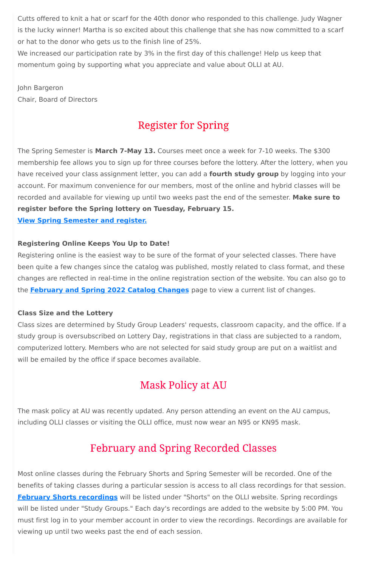Cutts offered to knit a hat or scarf for the 40th donor who responded to this challenge. Judy Wagner is the lucky winner! Martha is so excited about this challenge that she has now committed to a scarf or hat to the donor who gets us to the finish line of 25%.

We increased our participation rate by 3% in the first day of this challenge! Help us keep that momentum going by supporting what you appreciate and value about OLLI at AU.

John Bargeron Chair, Board of Directors

# **Register for Spring**

The Spring Semester is **March 7-May 13.** Courses meet once a week for 7-10 weeks. The \$300 membership fee allows you to sign up for three courses before the lottery. After the lottery, when you have received your class assignment letter, you can add a **fourth study group** by logging into your account. For maximum convenience for our members, most of the online and hybrid classes will be recorded and available for viewing up until two weeks past the end of the semester. **Make sure to register before the Spring lottery on Tuesday, February 15.**

**View Spring [Semester](https://www.olli-dc.org/view_all_study_groups) and register.**

### **Registering Online Keeps You Up to Date!**

Registering online is the easiest way to be sure of the format of your selected classes. There have been quite a few changes since the catalog was published, mostly related to class format, and these changes are reflected in real-time in the online registration section of the website. You can also go to the **[February](https://www.olli-dc.org/feb_spring_catalog_changes) and Spring 2022 Catalog Changes** page to view a current list of changes.

### **Class Size and the Lottery**

Class sizes are determined by Study Group Leaders' requests, classroom capacity, and the office. If a study group is oversubscribed on Lottery Day, registrations in that class are subjected to a random, computerized lottery. Members who are not selected for said study group are put on a waitlist and will be emailed by the office if space becomes available.

# **Mask Policy at AU**

The mask policy at AU was recently updated. Any person attending an event on the AU campus,

including OLLI classes or visiting the OLLI office, must now wear an N95 or KN95 mask.

### **February and Spring Recorded Classes**

Most online classes during the February Shorts and Spring Semester will be recorded. One of the benefits of taking classes during a particular session is access to all class recordings for that session. **February Shorts [recordings](https://www.olli-dc.org/2022_february_shorts_recordings)** will be listed under "Shorts" on the OLLI website. Spring recordings will be listed under "Study Groups." Each day's recordings are added to the website by 5:00 PM. You must first log in to your member account in order to view the recordings. Recordings are available for viewing up until two weeks past the end of each session.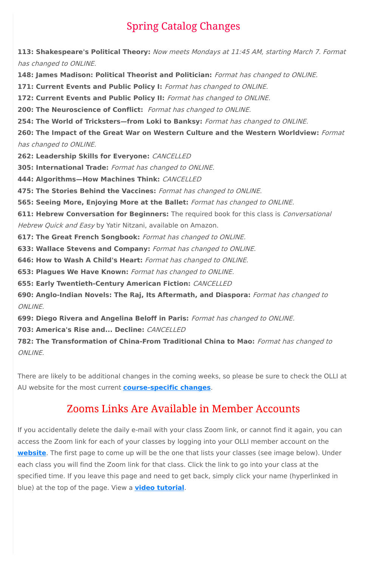# **Spring Catalog Changes**

**113: Shakespeare's Political Theory:** Now meets Mondays at 11:45 AM, starting March 7. Format has changed to ONLINE.

**148: James Madison: Political Theorist and Politician:** Format has changed to ONLINE.

**171: Current Events and Public Policy I:** Format has changed to ONLINE.

**172: Current Events and Public Policy II:** Format has changed to ONLINE.

**200: The Neuroscience of Conflict:** Format has changed to ONLINE.

**611: Hebrew Conversation for Beginners:** The required book for this class is Conversational Hebrew Quick and Easy by Yatir Nitzani, available on Amazon.

**254: The World of Tricksters—from Loki to Banksy:** Format has changed to ONLINE.

**260: The Impact of the Great War on Western Culture and the Western Worldview:** Format has changed to ONLINE.

**262: Leadership Skills for Everyone:** CANCELLED

**305: International Trade:** Format has changed to ONLINE.

**444: Algorithms—How Machines Think:** CANCELLED

**475: The Stories Behind the Vaccines:** Format has changed to ONLINE.

**565: Seeing More, Enjoying More at the Ballet:** Format has changed to ONLINE.

**617: The Great French Songbook:** Format has changed to ONLINE.

**633: Wallace Stevens and Company:** Format has changed to ONLINE.

**646: How to Wash A Child's Heart:** Format has changed to ONLINE.

**653: Plagues We Have Known:** Format has changed to ONLINE.

**655: Early Twentieth-Century American Fiction:** CANCELLED

**690: Anglo-Indian Novels: The Raj, Its Aftermath, and Diaspora:** Format has changed to ONLINE.

**699: Diego Rivera and Angelina Beloff in Paris:** Format has changed to ONLINE.

**703: America's Rise and... Decline:** CANCELLED

**782: The Transformation of China-From Traditional China to Mao:** Format has changed to ONLINE.

There are likely to be additional changes in the coming weeks, so please be sure to check the OLLI at AU website for the most current **[course-specific](https://www.olli-dc.org/feb_spring_catalog_changes) changes**.

## **Zooms Links Are Available in Member Accounts**

If you accidentally delete the daily e-mail with your class Zoom link, or cannot find it again, you can access the Zoom link for each of your classes by logging into your OLLI member account on the **[website](https://www.olli-dc.org/)**. The first page to come up will be the one that lists your classes (see image below). Under each class you will find the Zoom link for that class. Click the link to go into your class at the specified time. If you leave this page and need to get back, simply click your name (hyperlinked in blue) at the top of the page. View a **video [tutorial](https://vimeo.com/666099470)**.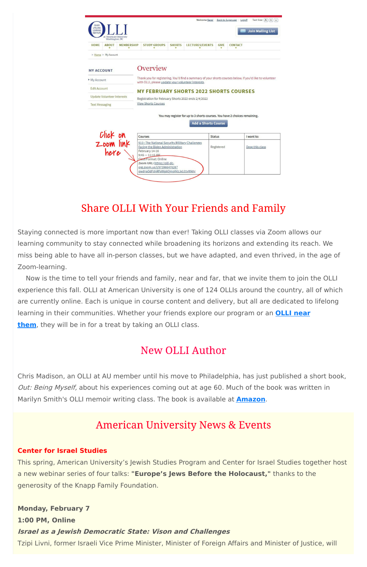| <b>OSHER</b><br><b>LIFELONG</b><br>LEARNING<br><b>INSTITUTE</b> | at American University<br>Washington, DC |                                                                                   |                                                                                                          |                                                                                                                                                                                                                                                  |               | Welcome Sara!          |                  | <b>Back to Superuser</b><br>Text Size: $\overline{A}$ $\overline{A}$ $\overline{A}$<br>Logoff<br><b>Join Mailing List</b> |
|-----------------------------------------------------------------|------------------------------------------|-----------------------------------------------------------------------------------|----------------------------------------------------------------------------------------------------------|--------------------------------------------------------------------------------------------------------------------------------------------------------------------------------------------------------------------------------------------------|---------------|------------------------|------------------|---------------------------------------------------------------------------------------------------------------------------|
| <b>HOME</b>                                                     | <b>ABOUT</b>                             | <b>MEMBERSHIP</b>                                                                 |                                                                                                          | <b>STUDY GROUPS</b>                                                                                                                                                                                                                              | <b>SHORTS</b> | <b>LECTURES/EVENTS</b> | <b>GIVE</b><br>▼ | <b>CONTACT</b>                                                                                                            |
|                                                                 | > Home > My Account                      |                                                                                   |                                                                                                          |                                                                                                                                                                                                                                                  |               |                        |                  |                                                                                                                           |
| <b>MY ACCOUNT</b><br>My Account                                 |                                          |                                                                                   |                                                                                                          | Overview                                                                                                                                                                                                                                         |               |                        |                  | Thank you for registering. You'll find a summary of your shorts courses below. If you'd like to volunteer                 |
| <b>Edit Account</b>                                             |                                          |                                                                                   |                                                                                                          | with OLLI, please update your volunteer interests.                                                                                                                                                                                               |               |                        |                  |                                                                                                                           |
|                                                                 | <b>Update Volunteer Interests</b>        |                                                                                   |                                                                                                          |                                                                                                                                                                                                                                                  |               |                        |                  | <b>MY FEBRUARY SHORTS 2022 SHORTS COURSES</b>                                                                             |
| <b>Text Messaging</b>                                           |                                          | Registration for February Shorts 2022 ends 2/4/2022<br><b>View Shorts Courses</b> |                                                                                                          |                                                                                                                                                                                                                                                  |               |                        |                  |                                                                                                                           |
|                                                                 |                                          |                                                                                   | You may register for up to 3 shorts courses. You have 2 choices remaining.<br><b>Add a Shorts Course</b> |                                                                                                                                                                                                                                                  |               |                        |                  |                                                                                                                           |
| Click on<br>Zoom link                                           |                                          |                                                                                   |                                                                                                          | <b>Courses</b>                                                                                                                                                                                                                                   |               |                        | <b>Status</b>    | I want to:                                                                                                                |
|                                                                 | here                                     |                                                                                   |                                                                                                          | 910: The National Security/Military Challenges<br>Facing the Biden Administration<br>February 14-16<br>$9:45 - 11:15$ AM<br>Class Format: Online<br>Zoom URL: https://olli-dc-<br>org.zoom.us/j/97396647628?<br>pwd=aDdFdnRFaWp6QmplMzJxL01vWkhr |               |                        | Registered       | Drop this class                                                                                                           |

## **Share OLLI With Your Friends and Family**

Staying connected is more important now than ever! Taking OLLI classes via Zoom allows our learning community to stay connected while broadening its horizons and extending its reach. We miss being able to have all in-person classes, but we have adapted, and even thrived, in the age of Zoom-learning.

Now is the time to tell your friends and family, near and far, that we invite them to join the OLLI experience this fall. OLLI at American University is one of 124 OLLIs around the country, all of which are currently online. Each is unique in course content and delivery, but all are dedicated to lifelong learning in their [communities.](https://sps.northwestern.edu/oshernrc/files_nrc/lli_directory_2019.pdf) Whether your friends explore our program or an **OLLI near them**, they will be in for a treat by taking an OLLI class.

### **New OLLI Author**

Chris Madison, an OLLI at AU member until his move to Philadelphia, has just published a short book, Out: Being Myself, about his experiences coming out at age 60. Much of the book was written in Marilyn Smith's OLLI memoir writing class. The book is available at **[Amazon](https://www.amazon.com/Out-Being-Myself-Chris-Madison-ebook/dp/B09MWNL9SD/ref=sr_1_2?crid=3F505R0O5WYL3&keywords=Out%3A+Being+Myself&qid=1643895891&sprefix=out+being+myself%2Caps%2C25&sr=8-2)**.

### **American University News & Events**

#### **Center for Israel Studies**

This spring, American University's Jewish Studies Program and Center for Israel Studies together host a new webinar series of four talks: **"Europe's Jews Before the Holocaust,"** thanks to the generosity of the Knapp Family Foundation.

**Monday, February 7 1:00 PM, Online Israel as <sup>a</sup> Jewish Democratic State: Vison and Challenges** Tzipi Livni, former Israeli Vice Prime Minister, Minister of Foreign Affairs and Minister of Justice, will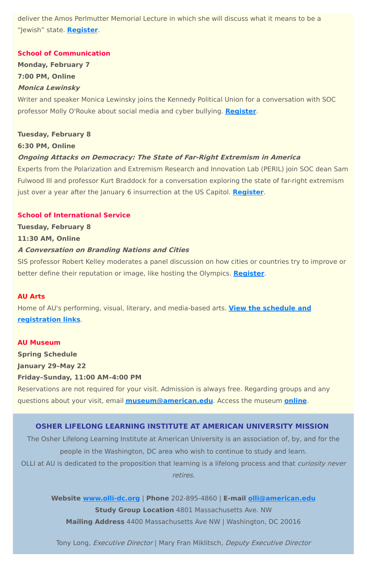deliver the Amos Perlmutter Memorial Lecture in which she will discuss what it means to be a "Jewish" state. **[Register](https://www.eventbrite.com/e/2022-amos-perlmutter-memorial-lecture-by-tzipi-livni-tickets-251556160247)**.

### **School of Communication**

**Monday, February 7**

**7:00 PM, Online**

#### **Monica Lewinsky**

Writer and speaker Monica Lewinsky joins the Kennedy Political Union for a conversation with SOC professor Molly O'Rouke about social media and cyber bullying. **[Register](https://american.campuslabs.com/engage/event/7812708/rsvp)**.

#### **Tuesday, February 8**

#### **6:30 PM, Online**

### **Ongoing Attacks on Democracy: The State of Far-Right Extremism in America**

Experts from the Polarization and Extremism Research and Innovation Lab (PERIL) join SOC dean Sam Fulwood III and professor Kurt Braddock for a conversation exploring the state of far-right extremism just over a year after the January 6 insurrection at the US Capitol. **[Register](https://www.eventbrite.com/e/ongoing-attacks-on-democracy-the-state-of-far-right-extremism-in-america-registration-245836863677?keep_tld=1)**.

The Osher Lifelong Learning Institute at American University is an association of, by, and for the people in the Washington, DC area who wish to continue to study and learn. OLLI at AU is dedicated to the proposition that learning is a lifelong process and that *curiosity never* 

#### **School of International Service**

**Tuesday, February 8 11:30 AM, Online**

#### **A Conversation on Branding Nations and Cities**

SIS professor Robert Kelley moderates a panel discussion on how cities or countries try to improve or better define their reputation or image, like hosting the Olympics. **[Register](https://www.eventbrite.com/e/hearts-minds-wallets-a-conversation-on-the-branding-of-nations-cities-tickets-255256417817)**.

#### **AU Arts**

Home of AU's performing, visual, literary, and media-based arts. **View the schedule and [registration](https://www.american.edu/arts/) links**.

### **AU Museum**

**Spring Schedule January 29–May 22 Friday–Sunday, 11:00 AM–4:00 PM**

Reservations are not required for your visit. Admission is always free. Regarding groups and any questions about your visit, email **[museum@american.edu](mailto:museum@american.edu)**. Access the museum **[online](https://www.american.edu/cas/museum/reopening.cfm)**.

#### **OSHER LIFELONG LEARNING INSTITUTE AT AMERICAN UNIVERSITY MISSION**

retires.

**Website [www.olli-dc.org](http://www.olli-dc.org/)** | **Phone** 202-895-4860 | **E-mail [olli@american.edu](mailto:olli@american.edu) Study Group Location** 4801 Massachusetts Ave. NW **Mailing Address** 4400 Massachusetts Ave NW | Washington, DC 20016

Tony Long, Executive Director | Mary Fran Miklitsch, Deputy Executive Director